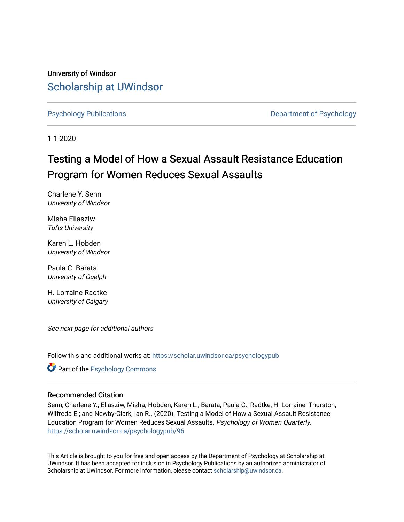University of Windsor [Scholarship at UWindsor](https://scholar.uwindsor.ca/) 

[Psychology Publications](https://scholar.uwindsor.ca/psychologypub) **Department of Psychology** 

1-1-2020

# Testing a Model of How a Sexual Assault Resistance Education Program for Women Reduces Sexual Assaults

Charlene Y. Senn University of Windsor

Misha Eliasziw Tufts University

Karen L. Hobden University of Windsor

Paula C. Barata University of Guelph

H. Lorraine Radtke University of Calgary

See next page for additional authors

Follow this and additional works at: [https://scholar.uwindsor.ca/psychologypub](https://scholar.uwindsor.ca/psychologypub?utm_source=scholar.uwindsor.ca%2Fpsychologypub%2F96&utm_medium=PDF&utm_campaign=PDFCoverPages) 

Part of the [Psychology Commons](http://network.bepress.com/hgg/discipline/404?utm_source=scholar.uwindsor.ca%2Fpsychologypub%2F96&utm_medium=PDF&utm_campaign=PDFCoverPages) 

## Recommended Citation

Senn, Charlene Y.; Eliasziw, Misha; Hobden, Karen L.; Barata, Paula C.; Radtke, H. Lorraine; Thurston, Wilfreda E.; and Newby-Clark, Ian R.. (2020). Testing a Model of How a Sexual Assault Resistance Education Program for Women Reduces Sexual Assaults. Psychology of Women Quarterly. [https://scholar.uwindsor.ca/psychologypub/96](https://scholar.uwindsor.ca/psychologypub/96?utm_source=scholar.uwindsor.ca%2Fpsychologypub%2F96&utm_medium=PDF&utm_campaign=PDFCoverPages)

This Article is brought to you for free and open access by the Department of Psychology at Scholarship at UWindsor. It has been accepted for inclusion in Psychology Publications by an authorized administrator of Scholarship at UWindsor. For more information, please contact [scholarship@uwindsor.ca.](mailto:scholarship@uwindsor.ca)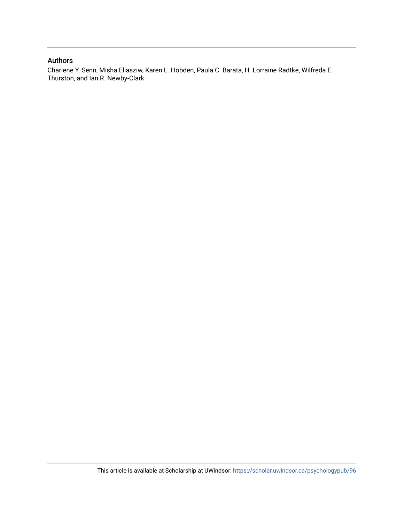# Authors

Charlene Y. Senn, Misha Eliasziw, Karen L. Hobden, Paula C. Barata, H. Lorraine Radtke, Wilfreda E. Thurston, and Ian R. Newby-Clark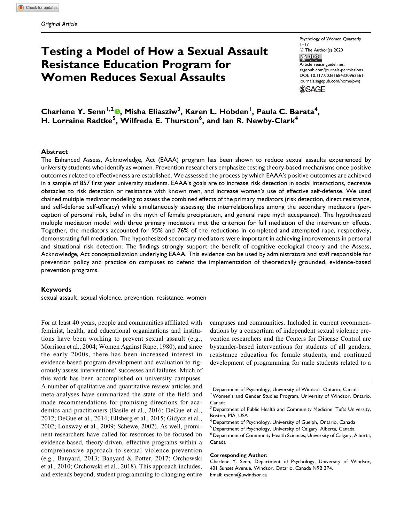# Testing a Model of How a Sexual Assault Resistance Education Program for Women Reduces Sexual Assaults

Psychology of Women Quarterly 1–17 © The Author(s) 2020 <u>ම ගම</u> Article reuse guidelines: [sagepub.com/journals-permissions](https://sagepub.com/journals-permissions) [DOI: 10.1177/0361684320962561](https://doi.org/10.1177/0361684320962561) [journals.sagepub.com/home/pwq](http://journals.sagepub.com/home/pwq)**SAGE** 

Charlene Y. Senn<sup>1[,](https://orcid.org/0000-0002-3463-5704)2</sup>®, Misha Eliasziw<sup>3</sup>, Karen L. Hobden<sup>1</sup>, Paula C. Barata<sup>4</sup>, H. Lorraine Radtke<sup>5</sup>, Wilfreda E. Thurston<sup>6</sup>, and Ian R. Newby-Clark<sup>4</sup>

#### Abstract

The Enhanced Assess, Acknowledge, Act (EAAA) program has been shown to reduce sexual assaults experienced by university students who identify as women. Prevention researchers emphasize testing theory-based mechanisms once positive outcomes related to effectiveness are established. We assessed the process by which EAAA's positive outcomes are achieved in a sample of 857 first year university students. EAAA's goals are to increase risk detection in social interactions, decrease obstacles to risk detection or resistance with known men, and increase women's use of effective self-defense. We used chained multiple mediator modeling to assess the combined effects of the primary mediators (risk detection, direct resistance, and self-defense self-efficacy) while simultaneously assessing the interrelationships among the secondary mediators (perception of personal risk, belief in the myth of female precipitation, and general rape myth acceptance). The hypothesized multiple mediation model with three primary mediators met the criterion for full mediation of the intervention effects. Together, the mediators accounted for 95% and 76% of the reductions in completed and attempted rape, respectively, demonstrating full mediation. The hypothesized secondary mediators were important in achieving improvements in personal and situational risk detection. The findings strongly support the benefit of cognitive ecological theory and the Assess, Acknowledge, Act conceptualization underlying EAAA. This evidence can be used by administrators and staff responsible for prevention policy and practice on campuses to defend the implementation of theoretically grounded, evidence-based prevention programs.

#### Keywords

sexual assault, sexual violence, prevention, resistance, women

For at least 40 years, people and communities affiliated with feminist, health, and educational organizations and institutions have been working to prevent sexual assault (e.g., Morrison et al., 2004; Women Against Rape, 1980), and since the early 2000s, there has been increased interest in evidence-based program development and evaluation to rigorously assess interventions' successes and failures. Much of this work has been accomplished on university campuses. A number of qualitative and quantitative review articles and meta-analyses have summarized the state of the field and made recommendations for promising directions for academics and practitioners (Basile et al., 2016; DeGue et al., 2012; DeGue et al., 2014; Ellsberg et al., 2015; Gidycz et al., 2002; Lonsway et al., 2009; Schewe, 2002). As well, prominent researchers have called for resources to be focused on evidence-based, theory-driven, effective programs within a comprehensive approach to sexual violence prevention (e.g., Banyard, 2013; Banyard & Potter, 2017; Orchowski et al., 2010; Orchowski et al., 2018). This approach includes, and extends beyond, student programming to changing entire

campuses and communities. Included in current recommendations by a consortium of independent sexual violence prevention researchers and the Centers for Disease Control are bystander-based interventions for students of all genders, resistance education for female students, and continued development of programming for male students related to a

#### Corresponding Author:

<sup>&</sup>lt;sup>1</sup> Department of Psychology, University of Windsor, Ontario, Canada  $2$  Women's and Gender Studies Program, University of Windsor, Ontario, Canada

<sup>&</sup>lt;sup>3</sup> Department of Public Health and Community Medicine, Tufts University, Boston, MA, USA

<sup>&</sup>lt;sup>4</sup> Department of Psychology, University of Guelph, Ontario, Canada

<sup>5</sup> Department of Psychology, University of Calgary, Alberta, Canada

<sup>6</sup> Department of Community Health Sciences, University of Calgary, Alberta, Canada

Charlene Y. Senn, Department of Psychology, University of Windsor, 401 Sunset Avenue, Windsor, Ontario, Canada N9B 3P4. Email: [csenn@uwindsor.ca](mailto:csenn@uwindsor.ca)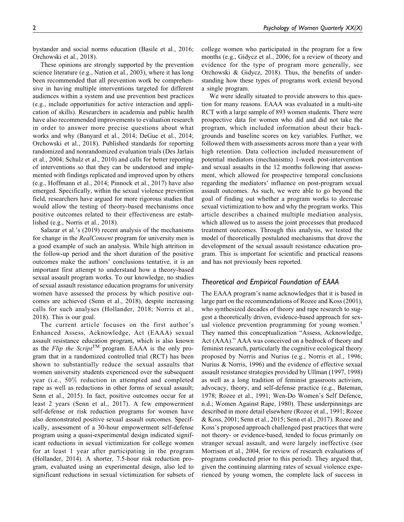bystander and social norms education (Basile et al., 2016; Orchowski et al., 2018).

These opinions are strongly supported by the prevention science literature (e.g., Nation et al., 2003), where it has long been recommended that all prevention work be comprehensive in having multiple interventions targeted for different audiences within a system and use prevention best practices (e.g., include opportunities for active interaction and application of skills). Researchers in academia and public health have also recommended improvements to evaluation research in order to answer more precise questions about what works and why (Banyard et al., 2014; DeGue et al., 2014; Orchowski et al., 2018). Published standards for reporting randomized and nonrandomized evaluation trials (Des Jarlais et al., 2004; Schulz et al., 2010) and calls for better reporting of interventions so that they can be understood and implemented with findings replicated and improved upon by others (e.g., Hoffmann et al., 2014; Pinnock et al., 2017) have also emerged. Specifically, within the sexual violence prevention field, researchers have argued for more rigorous studies that would allow the testing of theory-based mechanisms once positive outcomes related to their effectiveness are established (e.g., Norris et al., 2018).

Salazar et al.'s (2019) recent analysis of the mechanisms for change in the RealConsent program for university men is a good example of such an analysis. While high attrition in the follow-up period and the short duration of the positive outcomes make the authors' conclusions tentative, it is an important first attempt to understand how a theory-based sexual assault program works. To our knowledge, no studies of sexual assault resistance education programs for university women have assessed the process by which positive outcomes are achieved (Senn et al., 2018), despite increasing calls for such analyses (Hollander, 2018; Norris et al., 2018). This is our goal.

The current article focuses on the first author's Enhanced Assess, Acknowledge, Act (EAAA) sexual assault resistance education program, which is also known as the Flip the Script<sup>TM</sup> program. EAAA is the only program that in a randomized controlled trial (RCT) has been shown to substantially reduce the sexual assaults that women university students experienced over the subsequent year (i.e., 50% reduction in attempted and completed rape as well as reductions in other forms of sexual assault; Senn et al., 2015). In fact, positive outcomes occur for at least 2 years (Senn et al., 2017). A few empowerment self-defense or risk reduction programs for women have also demonstrated positive sexual assault outcomes. Specifically, assessment of a 30-hour empowerment self-defense program using a quasi-experimental design indicated significant reductions in sexual victimization for college women for at least 1 year after participating in the program (Hollander, 2014). A shorter, 7.5-hour risk reduction program, evaluated using an experimental design, also led to significant reductions in sexual victimization for subsets of college women who participated in the program for a few months (e.g., Gidycz et al., 2006; for a review of theory and evidence for the type of program more generally, see Orchowski & Gidycz, 2018). Thus, the benefits of understanding how these types of programs work extend beyond a single program.

We were ideally situated to provide answers to this question for many reasons. EAAA was evaluated in a multi-site RCT with a large sample of 893 women students. There were prospective data for women who did and did not take the program, which included information about their backgrounds and baseline scores on key variables. Further, we followed them with assessments across more than a year with high retention. Data collection included measurement of potential mediators (mechanisms) 1-week post-intervention and sexual assaults in the 12 months following that assessment, which allowed for prospective temporal conclusions regarding the mediators' influence on post-program sexual assault outcomes. As such, we were able to go beyond the goal of finding out whether a program works to decrease sexual victimization to how and why the program works. This article describes a chained multiple mediation analysis, which allowed us to assess the joint processes that produced treatment outcomes. Through this analysis, we tested the model of theoretically postulated mechanisms that drove the development of the sexual assault resistance education program. This is important for scientific and practical reasons and has not previously been reported.

## Theoretical and Empirical Foundation of EAAA

The EAAA program's name acknowledges that it is based in large part on the recommendations of Rozee and Koss (2001), who synthesized decades of theory and rape research to suggest a theoretically driven, evidence-based approach for sexual violence prevention programming for young women.<sup>1</sup> They named this conceptualization "Assess, Acknowledge, Act (AAA)." AAA was conceived on a bedrock of theory and feminist research, particularly the cognitive ecological theory proposed by Norris and Nurius (e.g., Norris et al., 1996; Nurius & Norris, 1996) and the evidence of effective sexual assault resistance strategies provided by Ullman (1997, 1998) as well as a long tradition of feminist grassroots activism, advocacy, theory, and self-defense practice (e.g., Bateman, 1978; Rozee et al., 1991; Wen-Do Women's Self Defence, n.d.; Women Against Rape, 1980). These underpinnings are described in more detail elsewhere (Rozee et al., 1991; Rozee & Koss, 2001; Senn et al., 2015; Senn et al., 2017). Rozee and Koss's proposed approach challenged past practices that were not theory- or evidence-based, tended to focus primarily on stranger sexual assault, and were largely ineffective (see Morrison et al., 2004, for review of research evaluations of programs conducted prior to this period). They argued that, given the continuing alarming rates of sexual violence experienced by young women, the complete lack of success in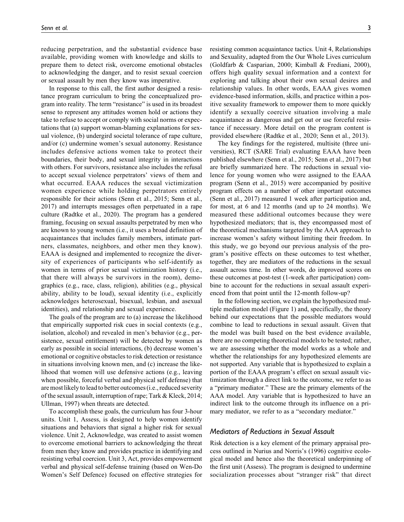reducing perpetration, and the substantial evidence base available, providing women with knowledge and skills to prepare them to detect risk, overcome emotional obstacles to acknowledging the danger, and to resist sexual coercion or sexual assault by men they know was imperative.

In response to this call, the first author designed a resistance program curriculum to bring the conceptualized program into reality. The term "resistance" is used in its broadest sense to represent any attitudes women hold or actions they take to refuse to accept or comply with social norms or expectations that (a) support woman-blaming explanations for sexual violence, (b) undergird societal tolerance of rape culture, and/or (c) undermine women's sexual autonomy. Resistance includes defensive actions women take to protect their boundaries, their body, and sexual integrity in interactions with others. For survivors, resistance also includes the refusal to accept sexual violence perpetrators' views of them and what occurred. EAAA reduces the sexual victimization women experience while holding perpetrators entirely responsible for their actions (Senn et al., 2015; Senn et al., 2017) and interrupts messages often perpetuated in a rape culture (Radtke et al., 2020). The program has a gendered framing, focusing on sexual assaults perpetrated by men who are known to young women (i.e., it uses a broad definition of acquaintances that includes family members, intimate partners, classmates, neighbors, and other men they know). EAAA is designed and implemented to recognize the diversity of experiences of participants who self-identify as women in terms of prior sexual victimization history (i.e., that there will always be survivors in the room), demographics (e.g., race, class, religion), abilities (e.g., physical ability, ability to be loud), sexual identity (i.e., explicitly acknowledges heterosexual, bisexual, lesbian, and asexual identities), and relationship and sexual experience.

The goals of the program are to (a) increase the likelihood that empirically supported risk cues in social contexts (e.g., isolation, alcohol) and revealed in men's behavior (e.g., persistence, sexual entitlement) will be detected by women as early as possible in social interactions, (b) decrease women's emotional or cognitive obstacles to risk detection or resistance in situations involving known men, and (c) increase the likelihood that women will use defensive actions (e.g., leaving when possible, forceful verbal and physical self defense) that are most likely to lead to better outcomes (i.e., reduced severity of the sexual assault, interruption of rape; Tark & Kleck, 2014; Ullman, 1997) when threats are detected.

To accomplish these goals, the curriculum has four 3-hour units. Unit 1, Assess, is designed to help women identify situations and behaviors that signal a higher risk for sexual violence. Unit 2, Acknowledge, was created to assist women to overcome emotional barriers to acknowledging the threat from men they know and provides practice in identifying and resisting verbal coercion. Unit 3, Act, provides empowerment verbal and physical self-defense training (based on Wen-Do Women's Self Defence) focused on effective strategies for resisting common acquaintance tactics. Unit 4, Relationships and Sexuality, adapted from the Our Whole Lives curriculum (Goldfarb & Casparian, 2000; Kimball & Frediani, 2000), offers high quality sexual information and a context for exploring and talking about their own sexual desires and relationship values. In other words, EAAA gives women evidence-based information, skills, and practice within a positive sexuality framework to empower them to more quickly identify a sexually coercive situation involving a male acquaintance as dangerous and get out or use forceful resistance if necessary. More detail on the program content is provided elsewhere (Radtke et al., 2020; Senn et al., 2013).

The key findings for the registered, multisite (three universities), RCT (SARE Trial) evaluating EAAA have been published elsewhere (Senn et al., 2015; Senn et al., 2017) but are briefly summarized here. The reductions in sexual violence for young women who were assigned to the EAAA program (Senn et al., 2015) were accompanied by positive program effects on a number of other important outcomes (Senn et al., 2017) measured 1 week after participation and, for most, at 6 and 12 months (and up to 24 months). We measured these additional outcomes because they were hypothesized mediators; that is, they encompassed most of the theoretical mechanisms targeted by the AAA approach to increase women's safety without limiting their freedom. In this study, we go beyond our previous analysis of the program's positive effects on these outcomes to test whether, together, they are mediators of the reductions in the sexual assault across time. In other words, do improved scores on these outcomes at post-test (1-week after participation) combine to account for the reductions in sexual assault experienced from that point until the 12-month follow-up?

In the following section, we explain the hypothesized multiple mediation model (Figure 1) and, specifically, the theory behind our expectations that the possible mediators would combine to lead to reductions in sexual assault. Given that the model was built based on the best evidence available, there are no competing theoretical models to be tested; rather, we are assessing whether the model works as a whole and whether the relationships for any hypothesized elements are not supported. Any variable that is hypothesized to explain a portion of the EAAA program's effect on sexual assault victimization through a direct link to the outcome, we refer to as a "primary mediator." These are the primary elements of the AAA model. Any variable that is hypothesized to have an indirect link to the outcome through its influence on a primary mediator, we refer to as a "secondary mediator."

## Mediators of Reductions in Sexual Assault

Risk detection is a key element of the primary appraisal process outlined in Nurius and Norris's (1996) cognitive ecological model and hence also the theoretical underpinning of the first unit (Assess). The program is designed to undermine socialization processes about "stranger risk" that direct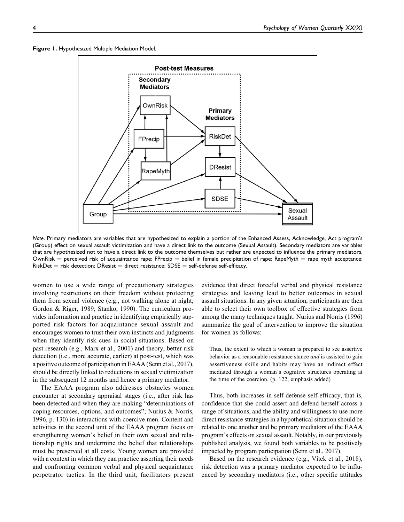



Note. Primary mediators are variables that are hypothesized to explain a portion of the Enhanced Assess, Acknowledge, Act program's (Group) effect on sexual assault victimization and have a direct link to the outcome (Sexual Assault). Secondary mediators are variables that are hypothesized not to have a direct link to the outcome themselves but rather are expected to influence the primary mediators. OwnRisk = perceived risk of acquaintance rape; FPrecip = belief in female precipitation of rape; RapeMyth = rape myth acceptance;  $RiskDet = risk detection; DResist = direct resistance; SDE = self-defense self-efficacy.$ 

women to use a wide range of precautionary strategies involving restrictions on their freedom without protecting them from sexual violence (e.g., not walking alone at night; Gordon & Riger, 1989; Stanko, 1990). The curriculum provides information and practice in identifying empirically supported risk factors for acquaintance sexual assault and encourages women to trust their own instincts and judgments when they identify risk cues in social situations. Based on past research (e.g., Marx et al., 2001) and theory, better risk detection (i.e., more accurate, earlier) at post-test, which was a positive outcome of participation in EAAA (Senn et al., 2017), should be directly linked to reductions in sexual victimization in the subsequent 12 months and hence a primary mediator.

The EAAA program also addresses obstacles women encounter at secondary appraisal stages (i.e., after risk has been detected and when they are making "determinations of coping resources, options, and outcomes"; Nurius & Norris, 1996, p. 130) in interactions with coercive men. Content and activities in the second unit of the EAAA program focus on strengthening women's belief in their own sexual and relationship rights and undermine the belief that relationships must be preserved at all costs. Young women are provided with a context in which they can practice asserting their needs and confronting common verbal and physical acquaintance perpetrator tactics. In the third unit, facilitators present

evidence that direct forceful verbal and physical resistance strategies and leaving lead to better outcomes in sexual assault situations. In any given situation, participants are then able to select their own toolbox of effective strategies from among the many techniques taught. Nurius and Norris (1996) summarize the goal of intervention to improve the situation for women as follows:

Thus, the extent to which a woman is prepared to see assertive behavior as a reasonable resistance stance *and* is assisted to gain assertiveness skills and habits may have an indirect effect mediated through a woman's cognitive structures operating at the time of the coercion. (p. 122, emphasis added)

Thus, both increases in self-defense self-efficacy, that is, confidence that she could assert and defend herself across a range of situations, and the ability and willingness to use more direct resistance strategies in a hypothetical situation should be related to one another and be primary mediators of the EAAA program's effects on sexual assault. Notably, in our previously published analysis, we found both variables to be positively impacted by program participation (Senn et al., 2017).

Based on the research evidence (e.g., Vitek et al., 2018), risk detection was a primary mediator expected to be influenced by secondary mediators (i.e., other specific attitudes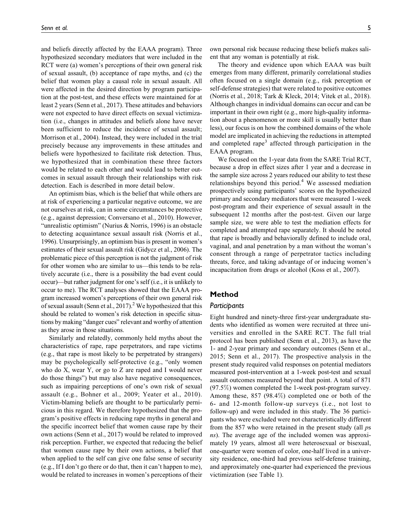and beliefs directly affected by the EAAA program). Three hypothesized secondary mediators that were included in the RCT were (a) women's perceptions of their own general risk of sexual assault, (b) acceptance of rape myths, and (c) the belief that women play a causal role in sexual assault. All were affected in the desired direction by program participation at the post-test, and these effects were maintained for at least 2 years (Senn et al., 2017). These attitudes and behaviors were not expected to have direct effects on sexual victimization (i.e., changes in attitudes and beliefs alone have never been sufficient to reduce the incidence of sexual assault; Morrison et al., 2004). Instead, they were included in the trial precisely because any improvements in these attitudes and beliefs were hypothesized to facilitate risk detection. Thus, we hypothesized that in combination these three factors would be related to each other and would lead to better outcomes in sexual assault through their relationships with risk detection. Each is described in more detail below.

An optimism bias, which is the belief that while others are at risk of experiencing a particular negative outcome, we are not ourselves at risk, can in some circumstances be protective (e.g., against depression; Conversano et al., 2010). However, "unrealistic optimism" (Nurius & Norris, 1996) is an obstacle to detecting acquaintance sexual assault risk (Norris et al., 1996). Unsurprisingly, an optimism bias is present in women's estimates of their sexual assault risk (Gidycz et al., 2006). The problematic piece of this perception is not the judgment of risk for other women who are similar to us—this tends to be relatively accurate (i.e., there is a possibility the bad event could occur)—but rather judgment for one's self (i.e., it is unlikely to occur to me). The RCT analyses showed that the EAAA program increased women's perceptions of their own general risk of sexual assault (Senn et al., 2017).<sup>2</sup> We hypothesized that this should be related to women's risk detection in specific situations by making "danger cues" relevant and worthy of attention as they arose in those situations.

Similarly and relatedly, commonly held myths about the characteristics of rape, rape perpetrators, and rape victims (e.g., that rape is most likely to be perpetrated by strangers) may be psychologically self-protective (e.g., "only women who do X, wear Y, or go to Z are raped and I would never do those things") but may also have negative consequences, such as impairing perceptions of one's own risk of sexual assault (e.g., Bohner et al., 2009; Yeater et al., 2010). Victim-blaming beliefs are thought to be particularly pernicious in this regard. We therefore hypothesized that the program's positive effects in reducing rape myths in general and the specific incorrect belief that women cause rape by their own actions (Senn et al., 2017) would be related to improved risk perception. Further, we expected that reducing the belief that women cause rape by their own actions, a belief that when applied to the self can give one false sense of security (e.g., If I don't go there or do that, then it can't happen to me), would be related to increases in women's perceptions of their

own personal risk because reducing these beliefs makes salient that any woman is potentially at risk.

The theory and evidence upon which EAAA was built emerges from many different, primarily correlational studies often focused on a single domain (e.g., risk perception or self-defense strategies) that were related to positive outcomes (Norris et al., 2018; Tark & Kleck, 2014; Vitek et al., 2018). Although changes in individual domains can occur and can be important in their own right (e.g., more high-quality information about a phenomenon or more skill is usually better than less), our focus is on how the combined domains of the whole model are implicated in achieving the reductions in attempted and completed rape<sup>3</sup> affected through participation in the EAAA program.

We focused on the 1-year data from the SARE Trial RCT, because a drop in effect sizes after 1 year and a decrease in the sample size across 2 years reduced our ability to test these relationships beyond this period. $4$  We assessed mediation prospectively using participants' scores on the hypothesized primary and secondary mediators that were measured 1-week post-program and their experience of sexual assault in the subsequent 12 months after the post-test. Given our large sample size, we were able to test the mediation effects for completed and attempted rape separately. It should be noted that rape is broadly and behaviorally defined to include oral, vaginal, and anal penetration by a man without the woman's consent through a range of perpetrator tactics including threats, force, and taking advantage of or inducing women's incapacitation from drugs or alcohol (Koss et al., 2007).

## Method

#### **Participants**

Eight hundred and ninety-three first-year undergraduate students who identified as women were recruited at three universities and enrolled in the SARE RCT. The full trial protocol has been published (Senn et al., 2013), as have the 1- and 2-year primary and secondary outcomes (Senn et al., 2015; Senn et al., 2017). The prospective analysis in the present study required valid responses on potential mediators measured post-intervention at a 1-week post-test and sexual assault outcomes measured beyond that point. A total of 871 (97.5%) women completed the 1-week post-program survey. Among these, 857 (98.4%) completed one or both of the 6- and 12-month follow-up surveys (i.e., not lost to follow-up) and were included in this study. The 36 participants who were excluded were not characteristically different from the 857 who were retained in the present study (all ps ns). The average age of the included women was approximately 19 years, almost all were heterosexual or bisexual, one-quarter were women of color, one-half lived in a university residence, one-third had previous self-defense training, and approximately one-quarter had experienced the previous victimization (see Table 1).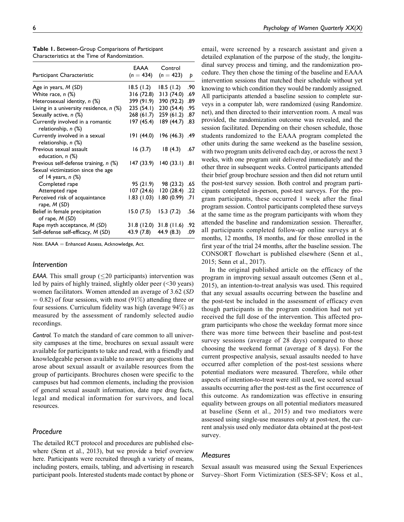| Participant Characteristic                                    | EAAA<br>$(n = 434)$ | Control<br>$(n = 423)$    | Þ   |
|---------------------------------------------------------------|---------------------|---------------------------|-----|
| Age in years, M (SD)                                          | 18.5 (1.2)          | 18.5 (1.2)                | .90 |
| White race, $n$ $%$                                           | 316 (72.8)          | 313(74.0)                 | .69 |
| Heterosexual identity, n (%)                                  | 399 (91.9)          | 390 (92.2)                | .89 |
| Living in a university residence, $n$ (%)                     | 235 (54.1)          | 230 (54.4)                | .95 |
| Sexually active, n (%)                                        |                     | 268 (61.7) 259 (61.2)     | .87 |
| Currently involved in a romantic<br>relationship, n (%)       | 197 (45.4)          | 189 (44.7)                | .83 |
| Currently involved in a sexual<br>relationship, $n$ $(\%)$    |                     | 191 (44.0) 196 (46.3) .49 |     |
| Previous sexual assault<br>education, $n$ $(\%)$              | 16 (3.7)            | 18(4.3)                   | .67 |
| Previous self-defense training, n (%)                         |                     | 147 (33.9) 140 (33.1) .81 |     |
| Sexual victimization since the age<br>of 14 years, $n$ $(\%)$ |                     |                           |     |
| Completed rape                                                | 95 (21.9)           | 98 (23.2)                 | .65 |
| Attempted rape                                                | 107 (24.6)          | 120(28.4)                 | .22 |
| Perceived risk of acquaintance<br>rape, M (SD)                |                     | 1.83 (1.03) 1.80 (0.99)   | ا7. |
| Belief in female precipitation<br>of rape, M (SD)             | 15.0 (7.5)          | 15.3(7.2)                 | .56 |
| Rape myth acceptance, <i>M</i> (SD)                           |                     | $31.8(12.0)$ 31.8 (11.6)  | .92 |
| Self-defense self-efficacy, M (SD)                            | 43.9 (7.8)          | 44.9(8.3)                 | .09 |

Table 1. Between-Group Comparisons of Participant Characteristics at the Time of Randomization.

 $Note. \, EAAA =$  Enhanced Assess, Acknowledge, Act.

## Intervention

EAAA. This small group  $(\leq 20$  participants) intervention was led by pairs of highly trained, slightly older peer (<30 years) women facilitators. Women attended an average of 3.62 (SD  $= 0.82$ ) of four sessions, with most (91%) attending three or four sessions. Curriculum fidelity was high (average 94%) as measured by the assessment of randomly selected audio recordings.

Control. To match the standard of care common to all university campuses at the time, brochures on sexual assault were available for participants to take and read, with a friendly and knowledgeable person available to answer any questions that arose about sexual assault or available resources from the group of participants. Brochures chosen were specific to the campuses but had common elements, including the provision of general sexual assault information, date rape drug facts, legal and medical information for survivors, and local resources.

## Procedure

The detailed RCT protocol and procedures are published elsewhere (Senn et al., 2013), but we provide a brief overview here. Participants were recruited through a variety of means, including posters, emails, tabling, and advertising in research participant pools. Interested students made contact by phone or email, were screened by a research assistant and given a detailed explanation of the purpose of the study, the longitudinal survey process and timing, and the randomization procedure. They then chose the timing of the baseline and EAAA intervention sessions that matched their schedule without yet knowing to which condition they would be randomly assigned. All participants attended a baseline session to complete surveys in a computer lab, were randomized (using [Randomize.](http://Randomize.net) [net\)](http://Randomize.net), and then directed to their intervention room. A meal was provided, the randomization outcome was revealed, and the session facilitated. Depending on their chosen schedule, those students randomized to the EAAA program completed the other units during the same weekend as the baseline session, with two program units delivered each day, or across the next 3 weeks, with one program unit delivered immediately and the other three in subsequent weeks. Control participants attended their brief group brochure session and then did not return until the post-test survey session. Both control and program participants completed in-person, post-test surveys. For the program participants, these occurred 1 week after the final program session. Control participants completed these surveys at the same time as the program participants with whom they attended the baseline and randomization session. Thereafter, all participants completed follow-up online surveys at 6 months, 12 months, 18 months, and for those enrolled in the first year of the trial 24 months, after the baseline session. The CONSORT flowchart is published elsewhere (Senn et al., 2015; Senn et al., 2017).

In the original published article on the efficacy of the program in improving sexual assault outcomes (Senn et al., 2015), an intention-to-treat analysis was used. This required that any sexual assaults occurring between the baseline and the post-test be included in the assessment of efficacy even though participants in the program condition had not yet received the full dose of the intervention. This affected program participants who chose the weekday format more since there was more time between their baseline and post-test survey sessions (average of 28 days) compared to those choosing the weekend format (average of 8 days). For the current prospective analysis, sexual assaults needed to have occurred after completion of the post-test sessions where potential mediators were measured. Therefore, while other aspects of intention-to-treat were still used, we scored sexual assaults occurring after the post-test as the first occurrence of this outcome. As randomization was effective in ensuring equality between groups on all potential mediators measured at baseline (Senn et al., 2015) and two mediators were assessed using single-use measures only at post-test, the current analysis used only mediator data obtained at the post-test survey.

### **Measures**

Sexual assault was measured using the Sexual Experiences Survey–Short Form Victimization (SES-SFV; Koss et al.,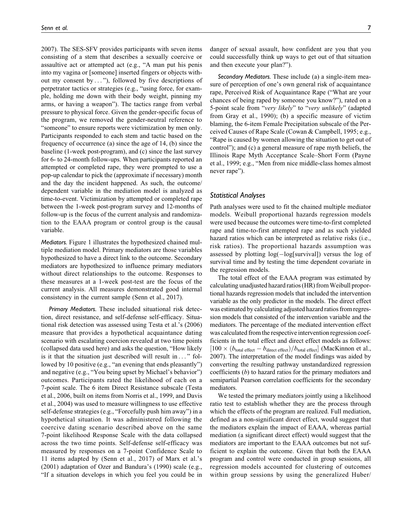2007). The SES-SFV provides participants with seven items consisting of a stem that describes a sexually coercive or assaultive act or attempted act (e.g., "A man put his penis into my vagina or [someone] inserted fingers or objects without my consent by ... "), followed by five descriptions of perpetrator tactics or strategies (e.g., "using force, for example, holding me down with their body weight, pinning my arms, or having a weapon"). The tactics range from verbal pressure to physical force. Given the gender-specific focus of the program, we removed the gender-neutral reference to "someone" to ensure reports were victimization by men only. Participants responded to each stem and tactic based on the frequency of occurrence (a) since the age of 14, (b) since the baseline (1-week post-program), and (c) since the last survey for 6- to 24-month follow-ups. When participants reported an attempted or completed rape, they were prompted to use a pop-up calendar to pick the (approximate if necessary) month and the day the incident happened. As such, the outcome/ dependent variable in the mediation model is analyzed as time-to-event. Victimization by attempted or completed rape between the 1-week post-program survey and 12-months of follow-up is the focus of the current analysis and randomization to the EAAA program or control group is the causal variable.

Mediators. Figure 1 illustrates the hypothesized chained multiple mediation model. Primary mediators are those variables hypothesized to have a direct link to the outcome. Secondary mediators are hypothesized to influence primary mediators without direct relationships to the outcome. Responses to these measures at a 1-week post-test are the focus of the current analysis. All measures demonstrated good internal consistency in the current sample (Senn et al., 2017).

Primary Mediators. These included situational risk detection, direct resistance, and self-defense self-efficacy. Situational risk detection was assessed using Testa et al.'s (2006) measure that provides a hypothetical acquaintance dating scenario with escalating coercion revealed at two time points (collapsed data used here) and asks the question, "How likely is it that the situation just described will result in ... " followed by 10 positive (e.g., "an evening that ends pleasantly") and negative (e.g., "You being upset by Michael's behavior") outcomes. Participants rated the likelihood of each on a 7-point scale. The 6 item Direct Resistance subscale (Testa et al., 2006, built on items from Norris et al., 1999, and Davis et al., 2004) was used to measure willingness to use effective self-defense strategies (e.g., "Forcefully push him away") in a hypothetical situation. It was administered following the coercive dating scenario described above on the same 7-point likelihood Response Scale with the data collapsed across the two time points. Self-defense self-efficacy was measured by responses on a 7-point Confidence Scale to 11 items adapted by (Senn et al., 2017) of Marx et al.'s (2001) adaptation of Ozer and Bandura's (1990) scale (e.g., "If a situation develops in which you feel you could be in danger of sexual assault, how confident are you that you could successfully think up ways to get out of that situation and then execute your plan?").

Secondary Mediators. These include (a) a single-item measure of perception of one's own general risk of acquaintance rape, Perceived Risk of Acquaintance Rape ("What are your chances of being raped by someone you know?"), rated on a 5-point scale from "very likely" to "very unlikely" (adapted from Gray et al., 1990); (b) a specific measure of victim blaming, the 6-item Female Precipitation subscale of the Perceived Causes of Rape Scale (Cowan & Campbell, 1995; e.g., "Rape is caused by women allowing the situation to get out of control"); and (c) a general measure of rape myth beliefs, the Illinois Rape Myth Acceptance Scale–Short Form (Payne et al., 1999; e.g., "Men from nice middle-class homes almost never rape").

## Statistical Analyses

Path analyses were used to fit the chained multiple mediator models. Weibull proportional hazards regression models were used because the outcomes were time-to-first completed rape and time-to-first attempted rape and as such yielded hazard ratios which can be interpreted as relative risks (i.e., risk ratios). The proportional hazards assumption was assessed by plotting  $log(-log[survival])$  versus the log of survival time and by testing the time dependent covariate in the regression models.

The total effect of the EAAA program was estimated by calculating unadjusted hazard ratios (HR) fromWeibull proportional hazards regression models that included the intervention variable as the only predictor in the models. The direct effect was estimated by calculating adjusted hazard ratios from regression models that consisted of the intervention variable and the mediators. The percentage of the mediated intervention effect was calculated from the respective intervention regression coefficients in the total effect and direct effect models as follows:  $100 \times (b_{\text{total effect}} - b_{\text{direct effect}})/b_{\text{total effect}}$  (MacKinnon et al., 2007). The interpretation of the model findings was aided by converting the resulting pathway unstandardized regression coefficients (b) to hazard ratios for the primary mediators and semipartial Pearson correlation coefficients for the secondary mediators.

We tested the primary mediators jointly using a likelihood ratio test to establish whether they are the process through which the effects of the program are realized. Full mediation, defined as a non-significant direct effect, would suggest that the mediators explain the impact of EAAA, whereas partial mediation (a significant direct effect) would suggest that the mediators are important to the EAAA outcomes but not sufficient to explain the outcome. Given that both the EAAA program and control were conducted in group sessions, all regression models accounted for clustering of outcomes within group sessions by using the generalized Huber/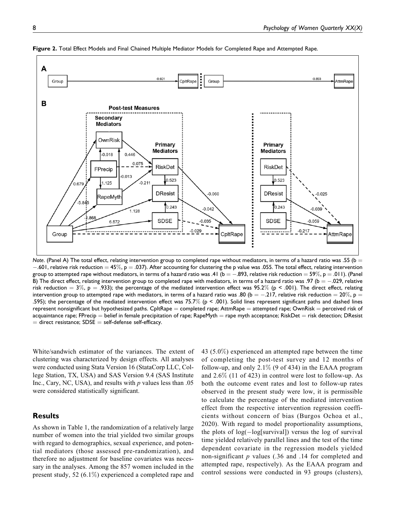

Figure 2. Total Effect Models and Final Chained Multiple Mediator Models for Completed Rape and Attempted Rape.

Note. (Panel A) The total effect, relating intervention group to completed rape without mediators, in terms of a hazard ratio was .55 (b =  $-.601$ , relative risk reduction  $= 45\%$ , p  $=.037$ ). After accounting for clustering the p value was .055. The total effect, relating intervention group to attempted rape without mediators, in terms of a hazard ratio was .41 (b = -.893, relative risk reduction = 59%, p = .011). (Panel B) The direct effect, relating intervention group to completed rape with mediators, in terms of a hazard ratio was .97 (b = -.029, relative risk reduction = 3%, p = .933); the percentage of the mediated intervention effect was 95.2% (p < .001). The direct effect, relating intervention group to attempted rape with mediators, in terms of a hazard ratio was .80 (b = -.217, relative risk reduction = 20%, p = .595); the percentage of the mediated intervention effect was 75.7% ( $p < .001$ ). Solid lines represent significant paths and dashed lines represent nonsignificant but hypothesized paths. CpltRape = completed rape; AttmRape = attempted rape; OwnRisk = perceived risk of acquaintance rape; FPrecip = belief in female precipitation of rape; RapeMyth = rape myth acceptance; RiskDet = risk detection; DResist  $=$  direct resistance; SDSE  $=$  self-defense self-efficacy.

White/sandwich estimator of the variances. The extent of clustering was characterized by design effects. All analyses were conducted using Stata Version 16 (StataCorp LLC, College Station, TX, USA) and SAS Version 9.4 (SAS Institute Inc., Cary, NC, USA), and results with  $p$  values less than .05 were considered statistically significant.

## **Results**

As shown in Table 1, the randomization of a relatively large number of women into the trial yielded two similar groups with regard to demographics, sexual experience, and potential mediators (those assessed pre-randomization), and therefore no adjustment for baseline covariates was necessary in the analyses. Among the 857 women included in the present study, 52 (6.1%) experienced a completed rape and 43 (5.0%) experienced an attempted rape between the time of completing the post-test survey and 12 months of follow-up, and only  $2.1\%$  (9 of 434) in the EAAA program and 2.6% (11 of 423) in control were lost to follow-up. As both the outcome event rates and lost to follow-up rates observed in the present study were low, it is permissible to calculate the percentage of the mediated intervention effect from the respective intervention regression coefficients without concern of bias (Burgos Ochoa et al., 2020). With regard to model proportionality assumptions, the plots of  $log(-log[survival])$  versus the log of survival time yielded relatively parallel lines and the test of the time dependent covariate in the regression models yielded non-significant p values (.36 and .14 for completed and attempted rape, respectively). As the EAAA program and control sessions were conducted in 93 groups (clusters),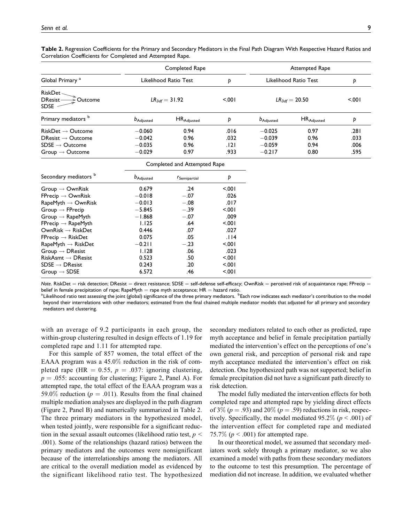|                                                                    | <b>Completed Rape</b>                       |                                   |           | Attempted Rape                              |                                   |            |
|--------------------------------------------------------------------|---------------------------------------------|-----------------------------------|-----------|---------------------------------------------|-----------------------------------|------------|
| Global Primary <sup>a</sup>                                        | Likelihood Ratio Test<br>$LR_{3df} = 31.92$ |                                   | Þ<br>5001 | Likelihood Ratio Test<br>$LR_{3df} = 20.50$ |                                   | D<br>5.001 |
| $RiskDet -$<br>$DResist$ —<br>$\rightarrow$ Outcome<br><b>SDSE</b> |                                             |                                   |           |                                             |                                   |            |
| Primary mediators <sup>b</sup>                                     | $b_{\rm Adjusted}$                          | $\mathsf{HR}_{\mathsf{Adjusted}}$ | Þ         | $b_{\rm Adjusted}$                          | $HR_{\footnotesize\rm{Adjusted}}$ | D          |
| $RiskDet \rightarrow Outcome$                                      | $-0.060$                                    | 0.94                              | .016      | $-0.025$                                    | 0.97                              | .281       |
| $DResist \rightarrow Outcome$                                      | $-0.042$                                    | 0.96                              | .032      | $-0.039$                                    | 0.96                              | .033       |
| $S$ DSE $\rightarrow$ Outcome                                      | $-0.035$                                    | 0.96                              | .121      | $-0.059$                                    | 0.94                              | .006       |
| $Group \rightarrow Outcome$                                        | $-0.029$                                    | 0.97                              | .933      | $-0.217$                                    | 0.80                              | .595       |

Table 2. Regression Coefficients for the Primary and Secondary Mediators in the Final Path Diagram With Respective Hazard Ratios and Correlation Coefficients for Completed and Attempted Rape.

| Completed and Attempted Rape |                            |         |  |  |
|------------------------------|----------------------------|---------|--|--|
| <b>D</b> Adjusted            | <i><b>T</b>Semipartial</i> | Þ       |  |  |
| 0.679                        | .24                        | $500 -$ |  |  |
| $-0.018$                     | $-.07$                     | .026    |  |  |
| $-0.013$                     | $-.08$                     | .017    |  |  |
| $-5.845$                     | $-.39$                     | $500 -$ |  |  |
| $-1.868$                     | $-.07$                     | .009    |  |  |
| 1.125                        | .64                        | 5.001   |  |  |
| 0.446                        | .07                        | .027    |  |  |
| 0.075                        | .05                        | .114    |  |  |
| $-0.211$                     | $-.23$                     | $500 -$ |  |  |
| 1.128                        | .06                        | .023    |  |  |
| 0.523                        | .50                        | 5.001   |  |  |
| 0.243                        | .20                        | 5.001   |  |  |
| 6.572                        | .46                        | $500 -$ |  |  |
|                              |                            |         |  |  |

Note. RiskDet = risk detection; DResist = direct resistance; SDSE = self-defense self-efficacy; OwnRisk = perceived risk of acquaintance rape; FPrecip = belief in female precipitation of rape;  $\text{RapeMyth} = \text{rape}$  myth acceptance;  $\text{HR} = \text{hazard ratio}$ .

Likelihood ratio test assessing the joint (global) significance of the three primary mediators.  $\,^{\rm b}$  Each row indicates each mediator's contribution to the model beyond their interrelations with other mediators; estimated from the final chained multiple mediator models that adjusted for all primary and secondary mediators and clustering.

with an average of 9.2 participants in each group, the within-group clustering resulted in design effects of 1.19 for completed rape and 1.11 for attempted rape.

For this sample of 857 women, the total effect of the EAAA program was a 45.0% reduction in the risk of completed rape (HR = 0.55,  $p = .037$ : ignoring clustering,  $p = .055$ : accounting for clustering; Figure 2, Panel A). For attempted rape, the total effect of the EAAA program was a 59.0% reduction ( $p = .011$ ). Results from the final chained multiple mediation analyses are displayed in the path diagram (Figure 2, Panel B) and numerically summarized in Table 2. The three primary mediators in the hypothesized model, when tested jointly, were responsible for a significant reduction in the sexual assault outcomes (likelihood ratio test,  $p \leq$ .001). Some of the relationships (hazard ratios) between the primary mediators and the outcomes were nonsignificant because of the interrelationships among the mediators. All are critical to the overall mediation model as evidenced by the significant likelihood ratio test. The hypothesized

secondary mediators related to each other as predicted, rape myth acceptance and belief in female precipitation partially mediated the intervention's effect on the perceptions of one's own general risk, and perception of personal risk and rape myth acceptance mediated the intervention's effect on risk detection. One hypothesized path was not supported; belief in female precipitation did not have a significant path directly to risk detection.

The model fully mediated the intervention effects for both completed rape and attempted rape by yielding direct effects of 3\%  $(p = .93)$  and 20\%  $(p = .59)$  reductions in risk, respectively. Specifically, the model mediated 95.2% ( $p < .001$ ) of the intervention effect for completed rape and mediated 75.7% ( $p < .001$ ) for attempted rape.

In our theoretical model, we assumed that secondary mediators work solely through a primary mediator, so we also examined a model with paths from these secondary mediators to the outcome to test this presumption. The percentage of mediation did not increase. In addition, we evaluated whether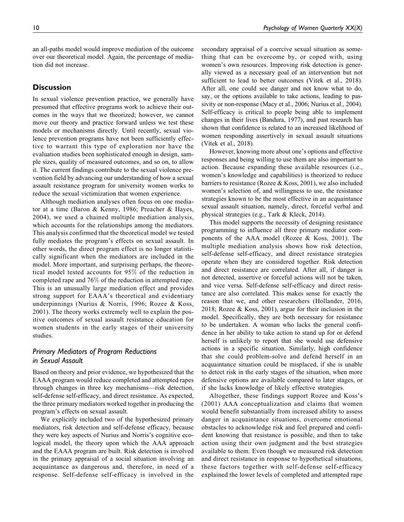an all-paths model would improve mediation of the outcome over our theoretical model. Again, the percentage of mediation did not increase.

## **Discussion**

In sexual violence prevention practice, we generally have presumed that effective programs work to achieve their outcomes in the ways that we theorized; however, we cannot move our theory and practice forward unless we test these models or mechanisms directly. Until recently, sexual violence prevention programs have not been sufficiently effective to warrant this type of exploration nor have the evaluation studies been sophisticated enough in design, sample sizes, quality of measured outcomes, and so on, to allow it. The current findings contribute to the sexual violence prevention field by advancing our understanding of how a sexual assault resistance program for university women works to reduce the sexual victimization that women experience.

Although mediation analyses often focus on one mediator at a time (Baron & Kenny, 1986; Preacher & Hayes, 2004), we used a chained multiple mediation analysis, which accounts for the relationships among the mediators. This analysis confirmed that the theoretical model we tested fully mediates the program's effects on sexual assault. In other words, the direct program effect is no longer statistically significant when the mediators are included in the model. More important, and surprising perhaps, the theoretical model tested accounts for 95% of the reduction in completed rape and 76% of the reduction in attempted rape. This is an unusually large mediation effect and provides strong support for EAAA's theoretical and evidentiary underpinnings (Nurius & Norris, 1996; Rozee & Koss, 2001). The theory works extremely well to explain the positive outcomes of sexual assault resistance education for women students in the early stages of their university studies.

# Primary Mediators of Program Reductions in Sexual Assault

Based on theory and prior evidence, we hypothesized that the EAAA program would reduce completed and attempted rapes through changes in three key mechanisms—risk detection, self-defense self-efficacy, and direct resistance. As expected, the three primary mediators worked together in producing the program's effects on sexual assault.

We explicitly included two of the hypothesized primary mediators, risk detection and self-defense efficacy, because they were key aspects of Nurius and Norris's cognitive ecological model, the theory upon which the AAA approach and the EAAA program are built. Risk detection is involved in the primary appraisal of a social situation involving an acquaintance as dangerous and, therefore, in need of a response. Self-defense self-efficacy is involved in the secondary appraisal of a coercive sexual situation as something that can be overcome by, or coped with, using women's own resources. Improving risk detection is generally viewed as a necessary goal of an intervention but not sufficient to lead to better outcomes (Vitek et al., 2018). After all, one could see danger and not know what to do, say, or the options available to take actions, leading to passivity or non-response (Macy et al., 2006; Nurius et al., 2004). Self-efficacy is critical to people being able to implement changes in their lives (Bandura, 1977), and past research has shown that confidence is related to an increased likelihood of women responding assertively in sexual assault situations (Vitek et al., 2018).

However, knowing more about one's options and effective responses and being willing to use them are also important to action. Because expanding these available resources (i.e., women's knowledge and capabilities) is theorized to reduce barriers to resistance (Rozee & Koss, 2001), we also included women's selection of, and willingness to use, the resistance strategies known to be the most effective in an acquaintance sexual assault situation, namely, direct, forceful verbal and physical strategies (e.g., Tark & Kleck, 2014).

This model supports the necessity of designing resistance programming to influence all three primary mediator components of the AAA model (Rozee & Koss, 2001). The multiple mediation analysis shows how risk detection, self-defense self-efficacy, and direct resistance strategies operate when they are considered together. Risk detection and direct resistance are correlated. After all, if danger is not detected, assertive or forceful actions will not be taken, and vice versa. Self-defense self-efficacy and direct resistance are also correlated. This makes sense for exactly the reason that we, and other researchers (Hollander, 2016, 2018; Rozee & Koss, 2001), argue for their inclusion in the model. Specifically, they are both necessary for resistance to be undertaken. A woman who lacks the general confidence in her ability to take action to stand up for or defend herself is unlikely to report that she would use defensive actions in a specific situation. Similarly, high confidence that she could problem-solve and defend herself in an acquaintance situation could be misplaced, if she is unable to detect risk in the early stages of the situation, when more defensive options are available compared to later stages, or if she lacks knowledge of likely effective strategies.

Altogether, these findings support Rozee and Koss's (2001) AAA conceptualization and claims that women would benefit substantially from increased ability to assess danger in acquaintance situations, overcome emotional obstacles to acknowledge risk and feel prepared and confident knowing that resistance is possible, and then to take action using their own judgment and the best strategies available to them. Even though we measured risk detection and direct resistance in response to hypothetical situations, these factors together with self-defense self-efficacy explained the lower levels of completed and attempted rape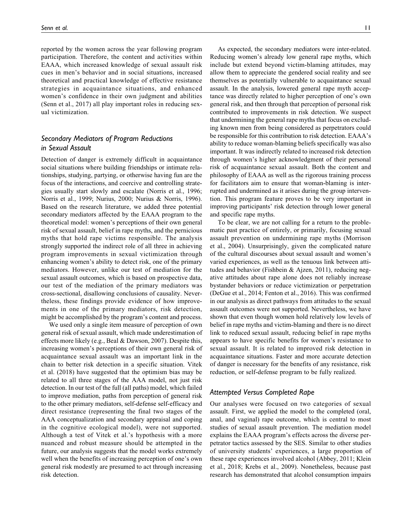reported by the women across the year following program participation. Therefore, the content and activities within EAAA, which increased knowledge of sexual assault risk cues in men's behavior and in social situations, increased theoretical and practical knowledge of effective resistance strategies in acquaintance situations, and enhanced women's confidence in their own judgment and abilities (Senn et al., 2017) all play important roles in reducing sexual victimization.

# Secondary Mediators of Program Reductions in Sexual Assault

Detection of danger is extremely difficult in acquaintance social situations where building friendships or intimate relationships, studying, partying, or otherwise having fun are the focus of the interactions, and coercive and controlling strategies usually start slowly and escalate (Norris et al., 1996; Norris et al., 1999; Nurius, 2000; Nurius & Norris, 1996). Based on the research literature, we added three potential secondary mediators affected by the EAAA program to the theoretical model: women's perceptions of their own general risk of sexual assault, belief in rape myths, and the pernicious myths that hold rape victims responsible. The analysis strongly supported the indirect role of all three in achieving program improvements in sexual victimization through enhancing women's ability to detect risk, one of the primary mediators. However, unlike our test of mediation for the sexual assault outcomes, which is based on prospective data, our test of the mediation of the primary mediators was cross-sectional, disallowing conclusions of causality. Nevertheless, these findings provide evidence of how improvements in one of the primary mediators, risk detection, might be accomplished by the program's content and process.

We used only a single item measure of perception of own general risk of sexual assault, which made underestimation of effects more likely (e.g., Beal & Dawson, 2007). Despite this, increasing women's perceptions of their own general risk of acquaintance sexual assault was an important link in the chain to better risk detection in a specific situation. Vitek et al. (2018) have suggested that the optimism bias may be related to all three stages of the AAA model, not just risk detection. In our test of the full (all paths) model, which failed to improve mediation, paths from perception of general risk to the other primary mediators, self-defense self-efficacy and direct resistance (representing the final two stages of the AAA conceptualization and secondary appraisal and coping in the cognitive ecological model), were not supported. Although a test of Vitek et al.'s hypothesis with a more nuanced and robust measure should be attempted in the future, our analysis suggests that the model works extremely well when the benefits of increasing perception of one's own general risk modestly are presumed to act through increasing risk detection.

As expected, the secondary mediators were inter-related. Reducing women's already low general rape myths, which include but extend beyond victim-blaming attitudes, may allow them to appreciate the gendered social reality and see themselves as potentially vulnerable to acquaintance sexual assault. In the analysis, lowered general rape myth acceptance was directly related to higher perception of one's own general risk, and then through that perception of personal risk contributed to improvements in risk detection. We suspect that undermining the general rape myths that focus on excluding known men from being considered as perpetrators could be responsible for this contribution to risk detection. EAAA's ability to reduce woman-blaming beliefs specifically was also important. It was indirectly related to increased risk detection through women's higher acknowledgment of their personal risk of acquaintance sexual assault. Both the content and philosophy of EAAA as well as the rigorous training process for facilitators aim to ensure that woman-blaming is interrupted and undermined as it arises during the group intervention. This program feature proves to be very important in improving participants' risk detection through lower general and specific rape myths.

To be clear, we are not calling for a return to the problematic past practice of entirely, or primarily, focusing sexual assault prevention on undermining rape myths (Morrison et al., 2004). Unsurprisingly, given the complicated nature of the cultural discourses about sexual assault and women's varied experiences, as well as the tenuous link between attitudes and behavior (Fishbein & Ajzen, 2011), reducing negative attitudes about rape alone does not reliably increase bystander behaviors or reduce victimization or perpetration (DeGue et al., 2014; Fenton et al., 2016). This was confirmed in our analysis as direct pathways from attitudes to the sexual assault outcomes were not supported. Nevertheless, we have shown that even though women hold relatively low levels of belief in rape myths and victim-blaming and there is no direct link to reduced sexual assault, reducing belief in rape myths appears to have specific benefits for women's resistance to sexual assault. It is related to improved risk detection in acquaintance situations. Faster and more accurate detection of danger is necessary for the benefits of any resistance, risk reduction, or self-defense program to be fully realized.

### Attempted Versus Completed Rape

Our analyses were focused on two categories of sexual assault. First, we applied the model to the completed (oral, anal, and vaginal) rape outcome, which is central to most studies of sexual assault prevention. The mediation model explains the EAAA program's effects across the diverse perpetrator tactics assessed by the SES. Similar to other studies of university students' experiences, a large proportion of these rape experiences involved alcohol (Abbey, 2011; Klein et al., 2018; Krebs et al., 2009). Nonetheless, because past research has demonstrated that alcohol consumption impairs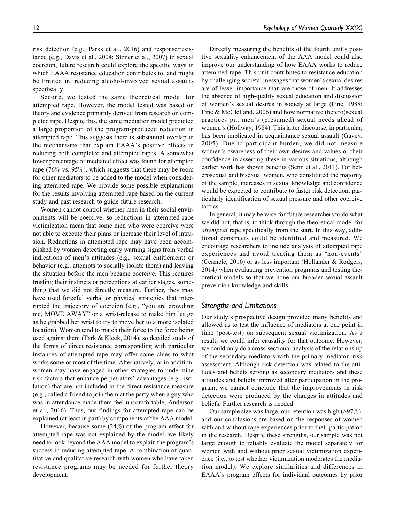risk detection (e.g., Parks et al., 2016) and response/resistance (e.g., Davis et al., 2004; Stoner et al., 2007) to sexual coercion, future research could explore the specific ways in which EAAA resistance education contributes to, and might be limited in, reducing alcohol-involved sexual assaults specifically.

Second, we tested the same theoretical model for attempted rape. However, the model tested was based on theory and evidence primarily derived from research on completed rape. Despite this, the same mediation model predicted a large proportion of the program-produced reduction in attempted rape. This suggests there is substantial overlap in the mechanisms that explain EAAA's positive effects in reducing both completed and attempted rapes. A somewhat lower percentage of mediated effect was found for attempted rape (76% vs. 95%), which suggests that there may be room for other mediators to be added to the model when considering attempted rape. We provide some possible explanations for the results involving attempted rape based on the current study and past research to guide future research.

Women cannot control whether men in their social environments will be coercive, so reductions in attempted rape victimization mean that some men who were coercive were not able to execute their plans or increase their level of intrusion. Reductions in attempted rape may have been accomplished by women detecting early warning signs from verbal indications of men's attitudes (e.g., sexual entitlement) or behavior (e.g., attempts to socially isolate them) and leaving the situation before the men became coercive. This requires trusting their instincts or perceptions at earlier stages, something that we did not directly measure. Further, they may have used forceful verbal or physical strategies that interrupted the trajectory of coercion (e.g., "you are crowding me, MOVE AWAY" or a wrist-release to make him let go as he grabbed her wrist to try to move her to a more isolated location). Women tend to match their force to the force being used against them (Tark & Kleck, 2014), so detailed study of the forms of direct resistance corresponding with particular instances of attempted rape may offer some clues to what works some or most of the time. Alternatively, or in addition, women may have engaged in other strategies to undermine risk factors that enhance perpetrators' advantages (e.g., isolation) that are not included in the direct resistance measure (e.g., called a friend to join them at the party when a guy who was in attendance made them feel uncomfortable; Anderson et al., 2016). Thus, our findings for attempted rape can be explained (at least in part) by components of the AAA model.

However, because some (24%) of the program effect for attempted rape was not explained by the model, we likely need to look beyond the AAA model to explain the program's success in reducing attempted rape. A combination of quantitative and qualitative research with women who have taken resistance programs may be needed for further theory development.

Directly measuring the benefits of the fourth unit's positive sexuality enhancement of the AAA model could also improve our understanding of how EAAA works to reduce attempted rape. This unit contributes to resistance education by challenging societal messages that women's sexual desires are of lesser importance than are those of men. It addresses the absence of high-quality sexual education and discussion of women's sexual desires in society at large (Fine, 1988; Fine & McClelland, 2006) and how normative (hetero)sexual practices put men's (presumed) sexual needs ahead of women's (Hollway, 1984). This latter discourse, in particular, has been implicated in acquaintance sexual assault (Gavey, 2005). Due to participant burden, we did not measure women's awareness of their own desires and values or their confidence in asserting these in various situations, although earlier work has shown benefits (Senn et al., 2011). For heterosexual and bisexual women, who constituted the majority of the sample, increases in sexual knowledge and confidence would be expected to contribute to faster risk detection, particularly identification of sexual pressure and other coercive tactics.

In general, it may be wise for future researchers to do what we did not, that is, to think through the theoretical model for attempted rape specifically from the start. In this way, additional constructs could be identified and measured. We encourage researchers to include analysis of attempted rape experiences and avoid treating them as "non-events" (Cermele, 2010) or as less important (Hollander & Rodgers, 2014) when evaluating prevention programs and testing theoretical models so that we hone our broader sexual assault prevention knowledge and skills.

#### Strengths and Limitations

Our study's prospective design provided many benefits and allowed us to test the influence of mediators at one point in time (post-test) on subsequent sexual victimization. As a result, we could infer causality for that outcome. However, we could only do a cross-sectional analysis of the relationship of the secondary mediators with the primary mediator, risk assessment. Although risk detection was related to the attitudes and beliefs serving as secondary mediators and these attitudes and beliefs improved after participation in the program, we cannot conclude that the improvements in risk detection were produced by the changes in attitudes and beliefs. Further research is needed.

Our sample size was large, our retention was high  $(>97\%)$ , and our conclusions are based on the responses of women with and without rape experiences prior to their participation in the research. Despite these strengths, our sample was not large enough to reliably evaluate the model separately for women with and without prior sexual victimization experience (i.e., to test whether victimization moderates the mediation model). We explore similarities and differences in EAAA's program effects for individual outcomes by prior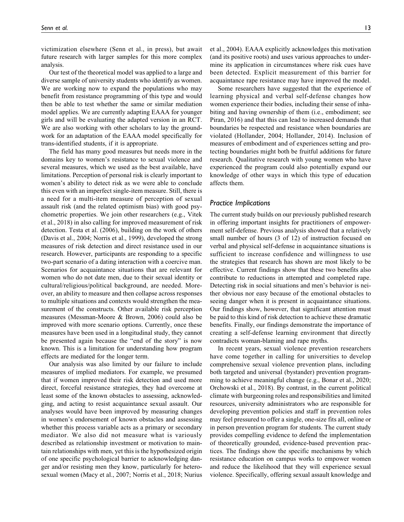victimization elsewhere (Senn et al., in press), but await future research with larger samples for this more complex analysis.

Our test of the theoretical model was applied to a large and diverse sample of university students who identify as women. We are working now to expand the populations who may benefit from resistance programming of this type and would then be able to test whether the same or similar mediation model applies. We are currently adapting EAAA for younger girls and will be evaluating the adapted version in an RCT. We are also working with other scholars to lay the groundwork for an adaptation of the EAAA model specifically for trans-identified students, if it is appropriate.

The field has many good measures but needs more in the domains key to women's resistance to sexual violence and several measures, which we used as the best available, have limitations. Perception of personal risk is clearly important to women's ability to detect risk as we were able to conclude this even with an imperfect single-item measure. Still, there is a need for a multi-item measure of perception of sexual assault risk (and the related optimism bias) with good psychometric properties. We join other researchers (e.g., Vitek et al., 2018) in also calling for improved measurement of risk detection. Testa et al. (2006), building on the work of others (Davis et al., 2004; Norris et al., 1999), developed the strong measures of risk detection and direct resistance used in our research. However, participants are responding to a specific two-part scenario of a dating interaction with a coercive man. Scenarios for acquaintance situations that are relevant for women who do not date men, due to their sexual identity or cultural/religious/political background, are needed. Moreover, an ability to measure and then collapse across responses to multiple situations and contexts would strengthen the measurement of the constructs. Other available risk perception measures (Messman-Moore & Brown, 2006) could also be improved with more scenario options. Currently, once these measures have been used in a longitudinal study, they cannot be presented again because the "end of the story" is now known. This is a limitation for understanding how program effects are mediated for the longer term.

Our analysis was also limited by our failure to include measures of implied mediators. For example, we presumed that if women improved their risk detection and used more direct, forceful resistance strategies, they had overcome at least some of the known obstacles to assessing, acknowledging, and acting to resist acquaintance sexual assault. Our analyses would have been improved by measuring changes in women's endorsement of known obstacles and assessing whether this process variable acts as a primary or secondary mediator. We also did not measure what is variously described as relationship investment or motivation to maintain relationships with men, yet this is the hypothesized origin of one specific psychological barrier to acknowledging danger and/or resisting men they know, particularly for heterosexual women (Macy et al., 2007; Norris et al., 2018; Nurius

et al., 2004). EAAA explicitly acknowledges this motivation (and its positive roots) and uses various approaches to undermine its application in circumstances where risk cues have been detected. Explicit measurement of this barrier for acquaintance rape resistance may have improved the model.

Some researchers have suggested that the experience of learning physical and verbal self-defense changes how women experience their bodies, including their sense of inhabiting and having ownership of them (i.e., embodiment; see Piran, 2016) and that this can lead to increased demands that boundaries be respected and resistance when boundaries are violated (Hollander, 2004; Hollander, 2014). Inclusion of measures of embodiment and of experiences setting and protecting boundaries might both be fruitful additions for future research. Qualitative research with young women who have experienced the program could also potentially expand our knowledge of other ways in which this type of education affects them.

#### Practice Implications

The current study builds on our previously published research in offering important insights for practitioners of empowerment self-defense. Previous analysis showed that a relatively small number of hours (3 of 12) of instruction focused on verbal and physical self-defense in acquaintance situations is sufficient to increase confidence and willingness to use the strategies that research has shown are most likely to be effective. Current findings show that these two benefits also contribute to reductions in attempted and completed rape. Detecting risk in social situations and men's behavior is neither obvious nor easy because of the emotional obstacles to seeing danger when it is present in acquaintance situations. Our findings show, however, that significant attention must be paid to this kind of risk detection to achieve these dramatic benefits. Finally, our findings demonstrate the importance of creating a self-defense learning environment that directly contradicts woman-blaming and rape myths.

In recent years, sexual violence prevention researchers have come together in calling for universities to develop comprehensive sexual violence prevention plans, including both targeted and universal (bystander) prevention programming to achieve meaningful change (e.g., Bonar et al., 2020; Orchowski et al., 2018). By contrast, in the current political climate with burgeoning roles and responsibilities and limited resources, university administrators who are responsible for developing prevention policies and staff in prevention roles may feel pressured to offer a single, one-size fits all, online or in person prevention program for students. The current study provides compelling evidence to defend the implementation of theoretically grounded, evidence-based prevention practices. The findings show the specific mechanisms by which resistance education on campus works to empower women and reduce the likelihood that they will experience sexual violence. Specifically, offering sexual assault knowledge and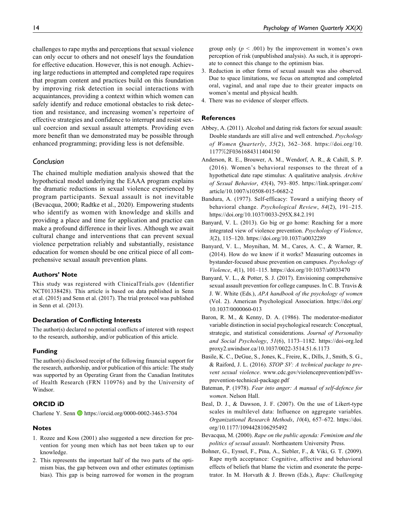challenges to rape myths and perceptions that sexual violence can only occur to others and not oneself lays the foundation for effective education. However, this is not enough. Achieving large reductions in attempted and completed rape requires that program content and practices build on this foundation by improving risk detection in social interactions with acquaintances, providing a context within which women can safely identify and reduce emotional obstacles to risk detection and resistance, and increasing women's repertoire of effective strategies and confidence to interrupt and resist sexual coercion and sexual assault attempts. Providing even more benefit than we demonstrated may be possible through enhanced programming; providing less is not defensible.

## Conclusion

The chained multiple mediation analysis showed that the hypothetical model underlying the EAAA program explains the dramatic reductions in sexual violence experienced by program participants. Sexual assault is not inevitable (Bevacqua, 2000; Radtke et al., 2020). Empowering students who identify as women with knowledge and skills and providing a place and time for application and practice can make a profound difference in their lives. Although we await cultural change and interventions that can prevent sexual violence perpetration reliably and substantially, resistance education for women should be one critical piece of all comprehensive sexual assault prevention plans.

#### Authors' Note

This study was registered with [ClinicalTrials.gov](http://ClinicalTrials.gov) (Identifier NCT01338428). This article is based on data published in Senn et al. (2015) and Senn et al. (2017). The trial protocol was published in Senn et al. (2013).

## Declaration of Conflicting Interests

The author(s) declared no potential conflicts of interest with respect to the research, authorship, and/or publication of this article.

### Funding

The author(s) disclosed receipt of the following financial support for the research, authorship, and/or publication of this article: The study was supported by an Operating Grant from the Canadian Institutes of Health Research (FRN 110976) and by the University of Windsor.

#### ORCID iD

Charlene Y. Senn **b** <https://orcid.org/0000-0002-3463-5704>

#### **Notes**

- 1. Rozee and Koss (2001) also suggested a new direction for prevention for young men which has not been taken up to our knowledge.
- 2. This represents the important half of the two parts of the optimism bias, the gap between own and other estimates (optimism bias). This gap is being narrowed for women in the program

group only  $(p < .001)$  by the improvement in women's own perception of risk (unpublished analysis). As such, it is appropriate to connect this change to the optimism bias.

- 3. Reduction in other forms of sexual assault was also observed. Due to space limitations, we focus on attempted and completed oral, vaginal, and anal rape due to their greater impacts on women's mental and physical health.
- 4. There was no evidence of sleeper effects.

#### **References**

- Abbey, A. (2011). Alcohol and dating risk factors for sexual assault: Double standards are still alive and well entrenched. Psychology of Women Quarterly, 35(2), 362–368. [https://doi.org/10.](https://doi.org/10.1177%2F0361684311404150) [1177](https://doi.org/10.1177%2F0361684311404150)%[2F0361684311404150](https://doi.org/10.1177%2F0361684311404150)
- Anderson, R. E., Brouwer, A. M., Wendorf, A. R., & Cahill, S. P. (2016). Women's behavioral responses to the threat of a hypothetical date rape stimulus: A qualitative analysis. Archive of Sexual Behavior, 45(4), 793–805. [https://link.springer.com/](https://link.springer.com/article/10.1007/s10508-015-0682-2) [article/10.1007/s10508-015-0682-2](https://link.springer.com/article/10.1007/s10508-015-0682-2)
- Bandura, A. (1977). Self-efficacy: Toward a unifying theory of behavioral change. Psychological Review, 84(2), 191–215. <https://doi.org/10.1037/0033-295X.84.2.191>
- Banyard, V. L. (2013). Go big or go home: Reaching for a more integrated view of violence prevention. Psychology of Violence, 3(2), 115–120.<https://doi.org/10.1037/a0032289>
- Banyard, V. L., Moynihan, M. M., Cares, A. C., & Warner, R. (2014). How do we know if it works? Measuring outcomes in bystander-focused abuse prevention on campuses. Psychology of Violence, 4(1), 101–115.<https://doi.org/10:1037/a0033470>
- Banyard, V. L., & Potter, S. J. (2017). Envisioning comprehensive sexual assault prevention for college campuses. In C. B. Travis & J. W. White (Eds.), APA handbook of the psychology of women (Vol. 2). American Psychological Association. [https://doi.org/](https://doi.org/10.1037/0000060-013) [10.1037/0000060-013](https://doi.org/10.1037/0000060-013)
- Baron, R. M., & Kenny, D. A. (1986). The moderator-mediator variable distinction in social psychological research: Conceptual, strategic, and statistical considerations. Journal of Personality and Social Psychology, 51(6), 1173–1182. [https://doi-org.led](https://doi-org.ledproxy2.uwindsor.ca/10.1037/0022-3514.51.6.1173) [proxy2.uwindsor.ca/10.1037/0022-3514.51.6.1173](https://doi-org.ledproxy2.uwindsor.ca/10.1037/0022-3514.51.6.1173)
- Basile, K. C., DeGue, S., Jones, K., Freire, K., Dills, J., Smith, S. G., & Raiford, J. L. (2016). STOP SV: A technical package to prevent sexual violence. [www.cdc.gov/violenceprevention/pdf/sv](http://www.cdc.gov/violenceprevention/pdf/sv-prevention-technical-package.pdf)[prevention-technical-package.pdf](http://www.cdc.gov/violenceprevention/pdf/sv-prevention-technical-package.pdf)
- Bateman, P. (1978). Fear into anger: A manual of self-defence for women. Nelson Hall.
- Beal, D. J., & Dawson, J. F. (2007). On the use of Likert-type scales in multilevel data: Influence on aggregate variables. Organizational Research Methods, 10(4), 657–672. [https://doi.](https://doi.org/10.1177/1094428106295492) [org/10.1177/1094428106295492](https://doi.org/10.1177/1094428106295492)
- Bevacqua, M. (2000). Rape on the public agenda: Feminism and the politics of sexual assault. Northeastern University Press.
- Bohner, G., Eyssel, F., Pina, A., Siebler, F., & Viki, G. T. (2009). Rape myth acceptance: Cognitive, affective and behavioral effects of beliefs that blame the victim and exonerate the perpetrator. In M. Horvath & J. Brown (Eds.), Rape: Challenging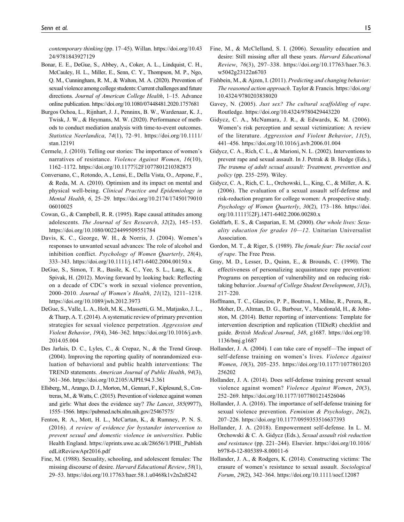contemporary thinking (pp. 17–45). Willan. [https://doi.org/10.43](https://doi.org/10.4324/9781843927129) [24/9781843927129](https://doi.org/10.4324/9781843927129)

- Bonar, E. E., DeGue, S., Abbey, A., Coker, A. L., Lindquist, C. H., McCauley, H. L., Miller, E., Senn, C. Y., Thompson, M. P., Ngo, Q. M., Cunningham, R. M., & Walton, M. A. (2020). Prevention of sexual violence among college students: Current challenges and future directions. Journal of American College Health, 1–15. Advance online publication.<https://doi.org/10.1080/07448481.2020.1757681>
- Burgos Ochoa, L., Rijnhart, J. J., Penninx, B. W., Wardenaar, K. J., Twisk, J. W., & Heymans, M. W. (2020). Performance of methods to conduct mediation analysis with time-to-event outcomes. Statistica Neerlandica, 74(1), 72–91. [https://doi.org/10.1111/](https://doi.org/10.1111/stan.12191) [stan.12191](https://doi.org/10.1111/stan.12191)
- Cermele, J. (2010). Telling our stories: The importance of women's narratives of resistance. Violence Against Women, 16(10), 1162–1172. [https://doi.org/10.1177](https://doi.org/10.1177%2F1077801210382873)%[2F1077801210382873](https://doi.org/10.1177%2F1077801210382873)
- Conversano, C., Rotondo, A., Lensi, E., Della Vista, O., Arpone, F., & Reda, M. A. (2010). Optimism and its impact on mental and physical well-being. Clinical Practice and Epidemiology in Mental Health, 6, 25–29. [https://doi.org/10.2174/17450179010](https://doi.org/10.2174/1745017901006010025) [06010025](https://doi.org/10.2174/1745017901006010025)
- Cowan, G., & Campbell, R. R. (1995). Rape causal attitudes among adolescents. The Journal of Sex Research, 32(2), 145–153. <https://doi.org/10.1080/00224499509551784>
- Davis, K. C., George, W. H., & Norris, J. (2004). Women's responses to unwanted sexual advances: The role of alcohol and inhibition conflict. Psychology of Women Quarterly, 28(4), 333–343.<https://doi.org/10.1111/j.1471-6402.2004.00150.x>
- DeGue, S., Simon, T. R., Basile, K. C., Yee, S. L., Lang, K., & Spivak, H. (2012). Moving forward by looking back: Reflecting on a decade of CDC's work in sexual violence prevention, 2000–2010. Journal of Women's Health, 21(12), 1211–1218. <https://doi.org/10.1089/jwh.2012.3973>
- DeGue, S., Valle, L. A., Holt, M. K., Massetti, G. M., Matjasko, J. L., & Tharp, A. T. (2014). A systematic review of primary prevention strategies for sexual violence perpetration. Aggression and Violent Behavior, 19(4), 346–362. [https://doi.org/10.1016/j.avb.](https://doi.org/10.1016/j.avb.2014.05.004) [2014.05.004](https://doi.org/10.1016/j.avb.2014.05.004)
- Des Jarlais, D. C., Lyles, C., & Crepaz, N., & the Trend Group. (2004). Improving the reporting quality of nonrandomized evaluation of behavioral and public health interventions: The TREND statements. American Journal of Public Health, 94(3), 361–366.<https://doi.org/10.2105/AJPH.94.3.361>
- Ellsberg, M., Arango, D. J., Morton, M., Gennari, F., Kiplesund, S., Contreras, M., & Watts, C. (2015). Prevention of violence against women and girls: What does the evidence say? The Lancet, 385(9977), 1555–1566.<https://pubmed.ncbi.nlm.nih.gov/25467575/>
- Fenton, R. A., Mott, H. L., McCartan, K., & Rumney, P. N. S. (2016). A review of evidence for bystander intervention to prevent sexual and domestic violence in universities. Public Health England. [https://eprints.uwe.ac.uk/28656/1/PHE\\_Publish](https://eprints.uwe.ac.uk/28656/1/PHE_PublishedLitReviewApr2016.pdf) [edLitReviewApr2016.pdf](https://eprints.uwe.ac.uk/28656/1/PHE_PublishedLitReviewApr2016.pdf)
- Fine, M. (1988). Sexuality, schooling, and adolescent females: The missing discourse of desire. Harvard Educational Review, 58(1), 29–53.<https://doi.org/10.17763/haer.58.1.u0468k1v2n2n8242>
- Fine, M., & McClelland, S. I. (2006). Sexuality education and desire: Still missing after all these years. Harvard Educational Review, 76(3), 297–338. [https://doi.org/10.17763/haer.76.3.](https://doi.org/10.17763/haer.76.3.w5042g23122n6703) [w5042g23122n6703](https://doi.org/10.17763/haer.76.3.w5042g23122n6703)
- Fishbein, M., & Ajzen, I. (2011). Predicting and changing behavior: The reasoned action approach. Taylor & Francis. [https://doi.org/](https://doi.org/10.4324/9780203838020) [10.4324/9780203838020](https://doi.org/10.4324/9780203838020)
- Gavey, N. (2005). Just sex? The cultural scaffolding of rape. Routledge.<https://doi.org/10.4324/9780429443220>
- Gidycz, C. A., McNamara, J. R., & Edwards, K. M. (2006). Women's risk perception and sexual victimization: A review of the literature. Aggression and Violent Behavior, 11(5), 441–456.<https://doi.org/10.1016/j.avb.2006.01.004>
- Gidycz, C. A., Rich, C. L., & Marioni, N. L. (2002). Interventions to prevent rape and sexual assault. In J. Petrak & B. Hedge (Eds.), The trauma of adult sexual assault: Treatment, prevention and policy (pp. 235–259). Wiley.
- Gidycz, C. A., Rich, C. L., Orchowski, L., King, C., & Miller, A. K. (2006). The evaluation of a sexual assault self-defense and risk-reduction program for college women: A prospective study. Psychology of Women Quarterly, 30(2), 173-186. [https://doi.](https://doi.org/10.1111%2Fj.1471-6402.2006.00280.x) [org/10.1111](https://doi.org/10.1111%2Fj.1471-6402.2006.00280.x)%[2Fj.1471-6402.2006.00280.x](https://doi.org/10.1111%2Fj.1471-6402.2006.00280.x)
- Goldfarb, E. S., & Casparian, E. M. (2000). Our whole lives: Sexuality education for grades  $10-12$ . Unitarian Universalist Association.
- Gordon, M. T., & Riger, S. (1989). The female fear: The social cost of rape. The Free Press.
- Gray, M. D., Lesser, D., Quinn, E., & Brounds, C. (1990). The effectiveness of personalizing acquaintance rape prevention: Programs on perception of vulnerability and on reducing risktaking behavior. Journal of College Student Development, 31(3), 217–220.
- Hoffmann, T. C., Glasziou, P. P., Boutron, I., Milne, R., Perera, R., Moher, D., Altman, D. G., Barbour, V., Macdonald, H., & Johnston, M. (2014). Better reporting of interventions: Template for intervention description and replication (TIDieR) checklist and guide. British Medical Journal, 348, g1687. [https://doi.org/10.](https://doi.org/10.1136/bmj.g1687) [1136/bmj.g1687](https://doi.org/10.1136/bmj.g1687)
- Hollander, J. A. (2004). I can take care of myself—The impact of self-defense training on women's lives. Violence Against Women, 10(3), 205–235. [https://doi.org/10.1177/1077801203](https://doi.org/10.1177/1077801203256202) [256202](https://doi.org/10.1177/1077801203256202)
- Hollander, J. A. (2014). Does self-defense training prevent sexual violence against women? Violence Against Women, 20(3), 252–269.<https://doi.org/10.1177/1077801214526046>
- Hollander, J. A. (2016). The importance of self-defense training for sexual violence prevention. Feminism & Psychology, 26(2), 207–226.<https://doi.org/10.1177/0959353516637393>
- Hollander, J. A. (2018). Empowerment self-defense. In L. M. Orchowski & C. A. Gidycz (Eds.), Sexual assault risk reduction and resistance (pp. 221–244). Elsevier. [https://doi.org/10.1016/](https://doi.org/10.1016/b978-0-12-805389-8.00011-6) [b978-0-12-805389-8.00011-6](https://doi.org/10.1016/b978-0-12-805389-8.00011-6)
- Hollander, J. A., & Rodgers, K. (2014). Constructing victims: The erasure of women's resistance to sexual assault. Sociological Forum, 29(2), 342–364.<https://doi.org/10.1111/socf.12087>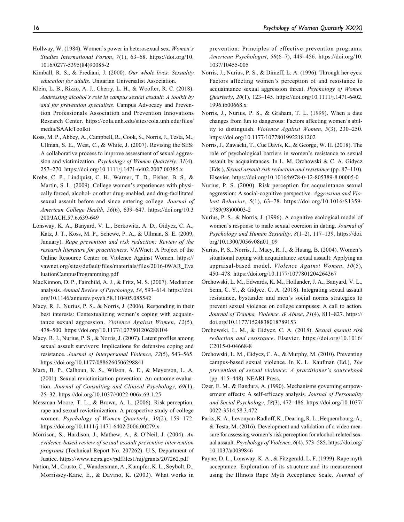- Hollway, W. (1984). Women's power in heterosexual sex. Women's Studies International Forum, 7(1), 63–68. [https://doi.org/10.](https://doi.org/10.1016/0277-5395(84)90085-2) [1016/0277-5395\(84\)90085-2](https://doi.org/10.1016/0277-5395(84)90085-2)
- Kimball, R. S., & Frediani, J. (2000). Our whole lives: Sexuality education for adults. Unitarian Universalist Association.
- Klein, L. B., Rizzo, A. J., Cherry, L. H., & Woofter, R. C. (2018). Addressing alcohol's role in campus sexual assault: A toolkit by and for prevention specialists. Campus Advocacy and Prevention Professionals Association and Prevention Innovations Research Center. [https://cola.unh.edu/sites/cola.unh.edu/files/](https://cola.unh.edu/sites/cola.unh.edu/files/media/SAAlcToolkit) [media/SAAlcToolkit](https://cola.unh.edu/sites/cola.unh.edu/files/media/SAAlcToolkit)
- Koss, M. P., Abbey, A., Campbell, R., Cook, S., Norris, J., Testa, M., Ullman, S. E., West, C., & White, J. (2007). Revising the SES: A collaborative process to improve assessment of sexual aggression and victimization. Psychology of Women Quarterly, 31(4), 257–270.<https://doi.org/10.1111/j.1471-6402.2007.00385.x>
- Krebs, C. P., Lindquist, C. H., Warner, T. D., Fisher, B. S., & Martin, S. L. (2009). College women's experiences with physically forced, alcohol- or other drug-enabled, and drug-facilitated sexual assault before and since entering college. Journal of American College Health, 56(6), 639–647. [https://doi.org/10.3](https://doi.org/10.3200/JACH.57.6.639-649) [200/JACH.57.6.639-649](https://doi.org/10.3200/JACH.57.6.639-649)
- Lonsway, K. A., Banyard, V. L., Berkowitz, A. D., Gidycz, C. A., Katz, J. T., Koss, M. P., Schewe, P. A., & Ullman, S. E. (2009, January). Rape prevention and risk reduction: Review of the research literature for practitioners. VAWnet: A Project of the Online Resource Center on Violence Against Women. [https://](https://vawnet.org/sites/default/files/materials/files/2016-09/AR_EvaluationCampusProgramming.pdf) [vawnet.org/sites/default/files/materials/files/2016-09/AR\\_Eva](https://vawnet.org/sites/default/files/materials/files/2016-09/AR_EvaluationCampusProgramming.pdf) [luationCampusProgramming.pdf](https://vawnet.org/sites/default/files/materials/files/2016-09/AR_EvaluationCampusProgramming.pdf)
- MacKinnon, D. P., Fairchild, A. J., & Fritz, M. S. (2007). Mediation analysis. Annual Review of Psychology, 58, 593–614. [https://doi.](https://doi.org/10.1146/annurev.psych.58.110405.085542) [org/10.1146/annurev.psych.58.110405.085542](https://doi.org/10.1146/annurev.psych.58.110405.085542)
- Macy, R. J., Nurius, P. S., & Norris, J. (2006). Responding in their best interests: Contextualizing women's coping with acquaintance sexual aggression. Violence Against Women, 12(5), 478–500.<https://doi.org/10.1177/1077801206288104>
- Macy, R. J., Nurius, P. S., & Norris, J. (2007). Latent profiles among sexual assault survivors: Implications for defensive coping and resistance. Journal of Interpersonal Violence, 22(5), 543–565. <https://doi.org/10.1177/0886260506298841>
- Marx, B. P., Calhoun, K. S., Wilson, A. E., & Meyerson, L. A. (2001). Sexual revictimization prevention: An outcome evaluation. Journal of Consulting and Clinical Psychology, 69(1), 25–32.<https://doi.org/10.1037//0022-006x.69.1.25>
- Messman-Moore, T. L., & Brown, A. L. (2006). Risk perception, rape and sexual revictimization: A prospective study of college women. Psychology of Women Quarterly, 30(2), 159–172. <https://doi.org/10.1111/j.1471-6402.2006.00279.x>
- Morrison, S., Hardison, J., Mathew, A., & O'Neil, J. (2004). An evidence-based review of sexual assault preventive intervention programs (Technical Report No. 207262). U.S. Department of Justice.<https://www.ncjrs.gov/pdffiles1/nij/grants/207262.pdf>
- Nation, M., Crusto, C.,Wandersman, A., Kumpfer, K. L., Seybolt, D., Morrissey-Kane, E., & Davino, K. (2003). What works in

prevention: Principles of effective prevention programs. American Psychologist, 58(6–7), 449–456. [https://doi.org/10.](https://doi.org/10.1037/10455-005) [1037/10455-005](https://doi.org/10.1037/10455-005)

- Norris, J., Nurius, P. S., & Dimeff, L. A. (1996). Through her eyes: Factors affecting women's perception of and resistance to acquaintance sexual aggression threat. Psychology of Women Quarterly, 20(1), 123–145. [https://doi.org/10.1111/j.1471-6402.](https://doi.org/10.1111/j.1471-6402.1996.tb00668.x) [1996.tb00668.x](https://doi.org/10.1111/j.1471-6402.1996.tb00668.x)
- Norris, J., Nurius, P. S., & Graham, T. L. (1999). When a date changes from fun to dangerous: Factors affecting women's ability to distinguish. Violence Against Women, 5(3), 230–250. <https://doi.org/10.1177/10778019922181202>
- Norris, J., Zawacki, T., Cue Davis, K., & George, W. H. (2018). The role of psychological barriers in women's resistance to sexual assault by acquaintances. In L. M. Orchowski & C. A. Gidycz (Eds.), Sexual assault risk reduction and resistance (pp. 87–110). Elsevier.<https://doi.org/10.1016/b978-0-12-805389-8.00005-0>
- Nurius, P. S. (2000). Risk perception for acquaintance sexual aggression: A social-cognitive perspective. Aggression and Violent Behavior, 5(1), 63–78. [https://doi.org/10.1016/S1359-](https://doi.org/10.1016/S1359-1789(98)00003-2) [1789\(98\)00003-2](https://doi.org/10.1016/S1359-1789(98)00003-2)
- Nurius, P. S., & Norris, J. (1996). A cognitive ecological model of women's response to male sexual coercion in dating. Journal of Psychology and Human Sexuality, 8(1–2), 117–139. [https://doi.](https://doi.org/10.1300/J056v08n01_09) [org/10.1300/J056v08n01\\_09](https://doi.org/10.1300/J056v08n01_09)
- Nurius, P. S., Norris, J., Macy, R. J., & Huang, B. (2004). Women's situational coping with acquaintance sexual assault: Applying an appraisal-based model. Violence Against Women, 10(5), 450–478.<https://doi.org/10.1177/1077801204264367>
- Orchowski, L. M., Edwards, K. M., Hollander, J. A., Banyard, V. L., Senn, C. Y., & Gidycz, C. A. (2018). Integrating sexual assault resistance, bystander and men's social norms strategies to prevent sexual violence on college campuses: A call to action. Journal of Trauma, Violence, & Abuse, 21(4), 811–827. [https://](https://doi.org/10.1177/1524838018789153) [doi.org/10.1177/1524838018789153](https://doi.org/10.1177/1524838018789153)
- Orchowski, L. M., & Gidycz, C. A. (2018). Sexual assault risk reduction and resistance. Elsevier. [https://doi.org/10.1016/](https://doi.org/10.1016/C2015-0-04668-8) [C2015-0-04668-8](https://doi.org/10.1016/C2015-0-04668-8)
- Orchowski, L. M., Gidycz, C. A., & Murphy, M. (2010). Preventing campus-based sexual violence. In K. L. Kaufman (Ed.), The prevention of sexual violence: A practitioner's sourcebook (pp. 415–448). NEARI Press.
- Ozer, E. M., & Bandura, A. (1990). Mechanisms governing empowerment effects: A self-efficacy analysis. Journal of Personality and Social Psychology, 58(3), 472–486. [https://doi.org/10.1037/](https://doi.org/10.1037/0022-3514.58.3.472) [0022-3514.58.3.472](https://doi.org/10.1037/0022-3514.58.3.472)
- Parks, K. A., Levonyan-Radloff, K., Dearing, R. L., Hequembourg, A., & Testa, M. (2016). Development and validation of a video measure for assessing women's risk perception for alcohol-related sexual assault. Psychology of Violence, 6(4), 573–585. [https://doi.org/](https://doi.org/10.1037/a0039846) [10.1037/a0039846](https://doi.org/10.1037/a0039846)
- Payne, D. L., Lonsway, K. A., & Fitzgerald, L. F. (1999). Rape myth acceptance: Exploration of its structure and its measurement using the Illinois Rape Myth Acceptance Scale. Journal of